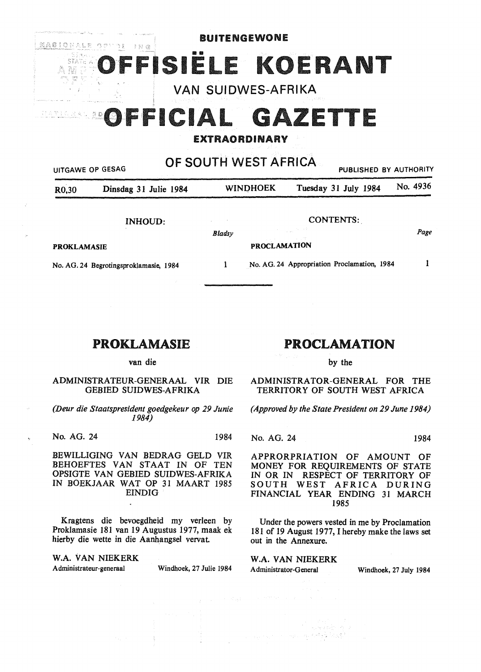# BUITENGEWONE MASIONALE OPLIZE ING IËLE KOERANT VAN SUIDWES-AFRIKA OFFICIAL GAZETTE  $\stackrel{\scriptstyle <}{\scriptstyle \sim}$  D EXTRAORDINARY

OF SOUTH WEST AFRICA

|                                        | UITGAWE OP GESAG      |        | UI UUU III YYLUI AI IIIUA. | PUBLISHED BY AUTHORITY                      |          |
|----------------------------------------|-----------------------|--------|----------------------------|---------------------------------------------|----------|
| R <sub>0</sub> ,30                     | Dinsdag 31 Julie 1984 |        | <b>WINDHOEK</b>            | Tuesday 31 July 1984                        | No. 4936 |
|                                        | <b>INHOUD:</b>        | Bladsy |                            | <b>CONTENTS:</b>                            | Page     |
| <b>PROKLAMASIE</b>                     |                       |        | <b>PROCLAMATION</b>        |                                             |          |
| No. AG. 24 Begrotingsproklamasie, 1984 |                       |        |                            | No. AG. 24 Appropriation Proclamation, 1984 |          |

## PROKLAMASIE

van die

## ADMINISTRATEUR-GENERAAL VIR DIE GEBIED SUIDWES-AFRIKA

*(Deur die Staatspresident goedgekeur op 29 Junie 1984)* 

No. AG. 24 1984

BEWILLIGING VAN BEDRAG GELD VIR BEHOEFTES VAN STAAT IN OF TEN OPSIGTE VAN GEBIED SUIDWES-AFRIKA IN BOEKJAAR WAT OP 31 MAART 1985 EINDIG

Kragtens die bevoegdheid my verleen by Proklamasie 181 van 19 Augustus 1977, maak ek hierby die wette in die Aanhangsel vervat

**W.A.** VAN NIEKERK Administrateur-generaal Windhoek, 27 Julie 1984

## PROCLAMATION

by the

ADMINISTRATOR-GENERAL FOR THE TERRITORY OF SOUTH WEST AFRICA

*(Approved by the State President on 29 June 1984)* 

No. AG. 24 1984

APPRORPRIATION OF AMOUNT OF MONEY FOR REQUIREMENTS OF STATE IN OR IN RESPECT OF TERRITORY OF SOUTH WEST AFRICA DURING FINANCIAL YEAR ENDING 31 MARCH 1985

Under the powers vested in me by Proclamation 181 of 19 August 1977, I hereby make the laws set out in the Annexure.

The Secretary of the

**W.A. VAN** NIEKERK Administrator-General Windhoek, 27 July 1984

ayawan na masang penggunaan n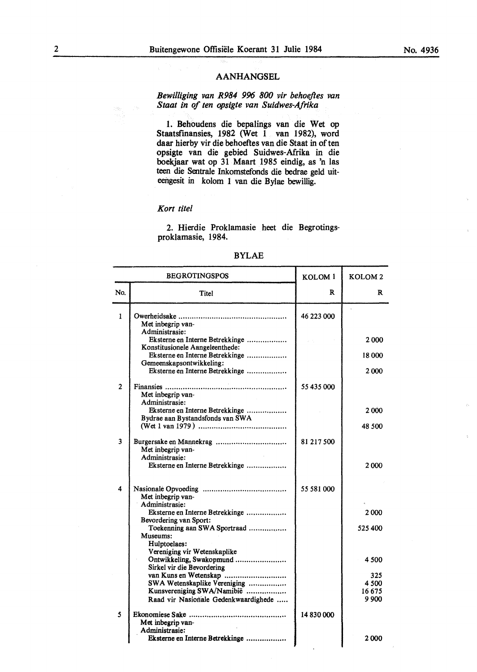## AANHANGSEL

*Bewilliging van R984 996 800 vir behoeftes van Staal in of ten opsigte van Suidwes-Afrika* 

1. Behoudens die bepalings van die Wet op Staatsfinansies, 1982 (Wet  $1$  van 1982), word daar hierby vir die behoeftes van die Staat in of ten opsigte van die gebied Suidwes-Afrika in die boekjaar wat op 31 Maart 1985 eindig, as 'n las teen die Sentrale Inkomstefonds die bedrae geld uiteengesit in kolom 1 van die Bylae bewillig.

## *Kort tile!*

2. Hierdie Proklamasie heet die Begrotingsproklamasie, 1984.

| <b>BEGROTINGSPOS</b> |                                                                                          | KOLOM <sub>1</sub> | KOLOM <sub>2</sub> |
|----------------------|------------------------------------------------------------------------------------------|--------------------|--------------------|
| No.                  | Titel                                                                                    | R                  | R                  |
| 1                    | Met inbegrip van-<br>Administrasie:                                                      | 46 223 000         |                    |
|                      | Eksterne en Interne Betrekkinge<br>Konstitusionele Aangeleenthede:                       |                    | 2000               |
|                      | Eksterne en Interne Betrekkinge<br>Gemeenskapsontwikkeling:                              |                    | 18000              |
|                      | Eksterne en Interne Betrekkinge                                                          |                    | 2000               |
| $\overline{2}$       | Met inbegrip van-<br>Administrasie:                                                      | 55 435 000         |                    |
|                      | Eksterne en Interne Betrekkinge<br>Bydrae aan Bystandsfonds van SWA                      |                    | 2000               |
|                      |                                                                                          |                    | 48 500             |
| 3                    | Met inbegrip van-<br>Administrasie:                                                      | 81 217 500         |                    |
|                      | Eksterne en Interne Betrekkinge                                                          |                    | 2000               |
| 4                    | Met inbegrip van-<br>Administrasie:                                                      | 55 581 000         |                    |
|                      | Eksterne en Interne Betrekkinge<br>Bevordering van Sport:                                |                    | 2000               |
|                      | Toekenning aan SWA Sportraad<br>Museums:<br>Hulptoelaes:<br>Vereniging vir Wetenskaplike |                    | 525 400            |
|                      | Ontwikkeling, Swakopmund<br>Sirkel vir die Bevordering                                   |                    | 4 500              |
|                      | van Kuns en Wetenskap<br>SWA Wetenskaplike Vereniging                                    |                    | 325<br>4 500       |
|                      | Kunsvereniging SWA/Namibië<br>Raad vir Nasionale Gedenkwaardighede                       |                    | 16675<br>9 900     |
| 5                    | Met inbegrip van-<br>Administrasie:                                                      | 14 830 000         |                    |
|                      | Eksterne en Interne Betrekkinge                                                          |                    | 2 000              |

#### BYLAE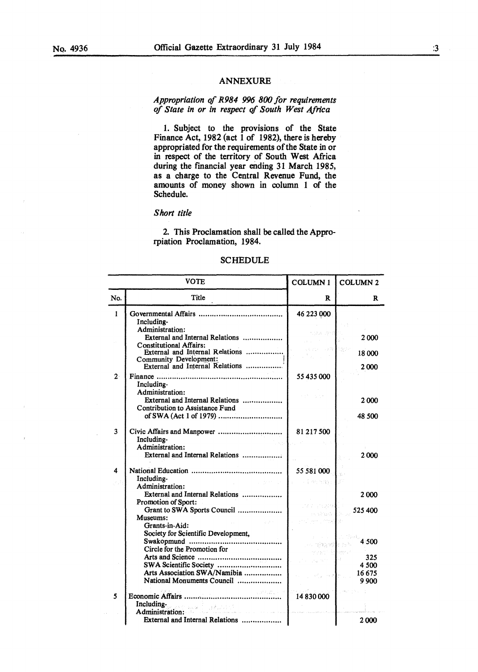## **ANNEXURE**

## *Appropriation* qf *R984 996 800 for requirements of State in or in respect* qf *South West Africa*

1. Subject to the provisions of the State Finance Act, 1982 (act  $\hat{1}$  of 1982), there is hereby appropriated for the requirements of the State in or in respect of the territory of South West Africa during the fmancial year ending 31 March 1985, as a charge to the Central Revenue Fund, the amounts of money shown in column 1 of the Schedule.

## *Short title*

2. This Proclamation shall be called the Approrpiation Proclamation, 1984.

### SCHEDULE

|                | <b>VOTE</b>                                                                                                                                                                                     | <b>COLUMN1</b>                                                                | <b>COLUMN 2</b>        |
|----------------|-------------------------------------------------------------------------------------------------------------------------------------------------------------------------------------------------|-------------------------------------------------------------------------------|------------------------|
| No.            | Title                                                                                                                                                                                           | R                                                                             | R                      |
| $\mathbf{1}$   | Including-                                                                                                                                                                                      | 46 223 000                                                                    |                        |
|                | Administration:<br>External and Internal Relations<br><b>Constitutional Affairs:</b>                                                                                                            | stale Perf                                                                    | 2000                   |
|                | External and Internal Relations<br>Community Development:                                                                                                                                       |                                                                               | 18 000                 |
| 2 <sup>1</sup> | External and Internal Relations<br>Including-                                                                                                                                                   | 55 435 000                                                                    | 2.000                  |
|                | Administration:<br>External and Internal Relations<br>Contribution to Assistance Fund                                                                                                           |                                                                               | 2000                   |
|                |                                                                                                                                                                                                 |                                                                               | 48 500                 |
| 3              | Including-<br>Administration:                                                                                                                                                                   | 81 217 500                                                                    |                        |
|                | External and Internal Relations                                                                                                                                                                 |                                                                               | 2000                   |
| 4              | Including-<br><b>Contractor</b><br>Administration:                                                                                                                                              | 55 581 000<br>化空动机 网络软件<br>$\bar{z}$                                          |                        |
|                | External and Internal Relations<br>Promotion of Sport:                                                                                                                                          | nard Consporter                                                               | 2000                   |
|                | Grant to SWA Sports Council<br>Museums:<br>Grants-in-Aid:                                                                                                                                       | Article Corp.                                                                 | 525 400                |
|                | Society for Scientific Development,<br>Swakopmund<br>Circle for the Promotion for                                                                                                               | . An improved to the                                                          | 4.500                  |
|                | Arts Association SWA/Namibia                                                                                                                                                                    | anyayının ile <mark>d</mark> ayakçık<br>$\mathcal{L}^{\text{max}}$<br>na alla | 325<br>4 500<br>16 675 |
| 5              | National Monuments Council<br>Including-                                                                                                                                                        | 14 830 000                                                                    | 9 9 0 0                |
|                | er we foeda<br>ar 1990).<br>An Aontaithe ann an Cairlinn an Aonaichte an Aonaichte an Aonaichte an Aonaichte an Aonaichte an Aonaichte an<br>Administration:<br>External and Internal Relations | and the control                                                               | 2000                   |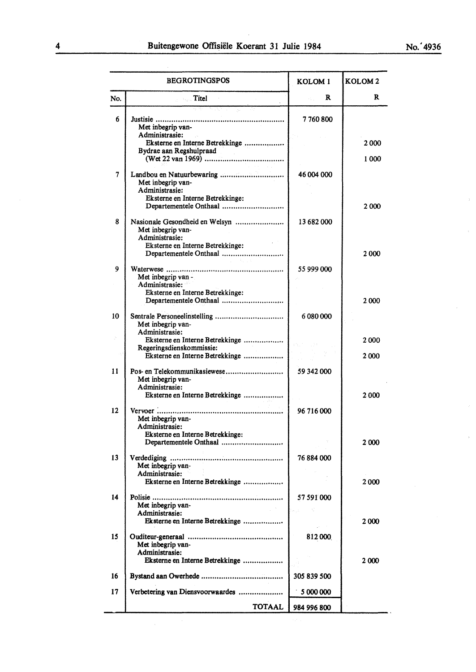|     | <b>BEGROTINGSPOS</b>                                                                                                                | KOLOM <sub>1</sub> | KOLOM <sub>2</sub> |
|-----|-------------------------------------------------------------------------------------------------------------------------------------|--------------------|--------------------|
| No. | <b>Titel</b>                                                                                                                        | R                  | R                  |
| 6   | Met inbegrip van-<br>Administrasie:<br>Eksterne en Interne Betrekkinge<br>Bydrae aan Regshulpraad                                   | 7760800            | 2000               |
|     |                                                                                                                                     |                    | 1000               |
| 7   | Landbou en Natuurbewaring<br>Met inbegrip van-<br>Administrasie:<br>Eksterne en Interne Betrekkinge:<br>Departementele Onthaal      | 46 004 000         | 2 000              |
| 8   | Nasionale Gesondheid en Welsyn<br>Met inbegrip van-<br>Administrasie:<br>Eksterne en Interne Betrekkinge:<br>Departementele Onthaal | 13 682 000         | 2000               |
| 9   | Met inbegrip van -<br>Administrasie:<br>Eksterne en Interne Betrekkinge:<br>Departementele Onthaal                                  | 55 999 000         | 2000               |
| 10  | Sentrale Personeelinstelling<br>Met inbegrip van-<br>Administrasie:                                                                 | 6 080 000          |                    |
|     | Eksterne en Interne Betrekkinge<br>Regeringsdienskommissie:                                                                         |                    | 2 000              |
|     | Eksterne en Interne Betrekkinge                                                                                                     |                    | 2000               |
| 11  | Pos- en Telekommunikasiewese<br>Met inbegrip van-<br>Administrasie:<br>Eksterne en Interne Betrekkinge                              | 59 342 000         | 2000               |
| 12  | Met inbegrip van-<br>Administrasie:<br>Eksterne en Interne Betrekkinge:                                                             | 96 716 000         |                    |
| 13  | Departementele Onthaal<br>Met inbegrip van-                                                                                         | 76 884 000         | 2 000              |
|     | Administrasie:<br>Eksterne en Interne Betrekkinge                                                                                   |                    | 2000               |
| 14  | Met inbegrip van-<br>Administrasie:<br>Eksterne en Interne Betrekkinge                                                              | 57 591 000<br>ka a | 2000               |
| 15  | Met inbegrip van-<br>Administrasie:<br>Eksterne en Interne Betrekkinge                                                              | 812000             | 2 000              |
| 16  |                                                                                                                                     | 305 839 500        |                    |
| 17  | Verbetering van Diensvoorwaardes                                                                                                    | 5 000 000          |                    |
|     | <b>TOTAAL</b>                                                                                                                       | 984 996 800        |                    |